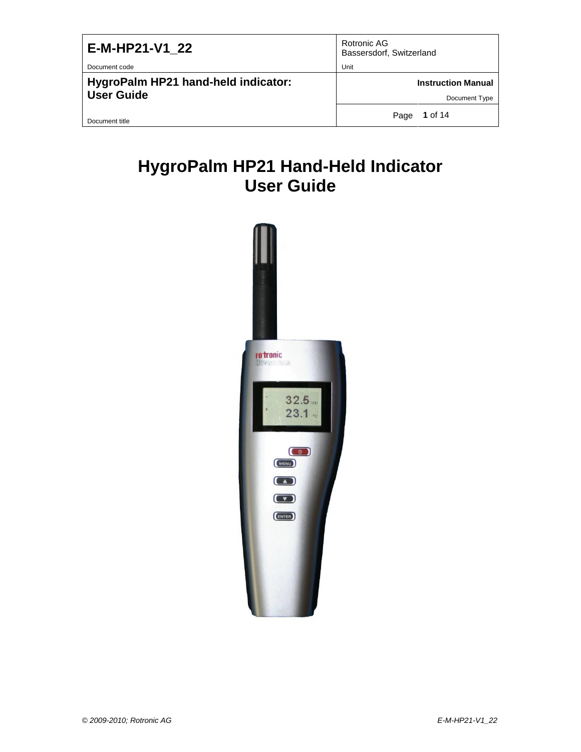| E-M-HP21-V1 22                      | Rotronic AG<br>Bassersdorf, Switzerland |
|-------------------------------------|-----------------------------------------|
| Document code                       | Unit                                    |
| HygroPalm HP21 hand-held indicator: | <b>Instruction Manual</b>               |
| <b>User Guide</b>                   | Document Type                           |
| Document title                      | 1 of 14<br>Page                         |

# **HygroPalm HP21 Hand-Held Indicator User Guide**

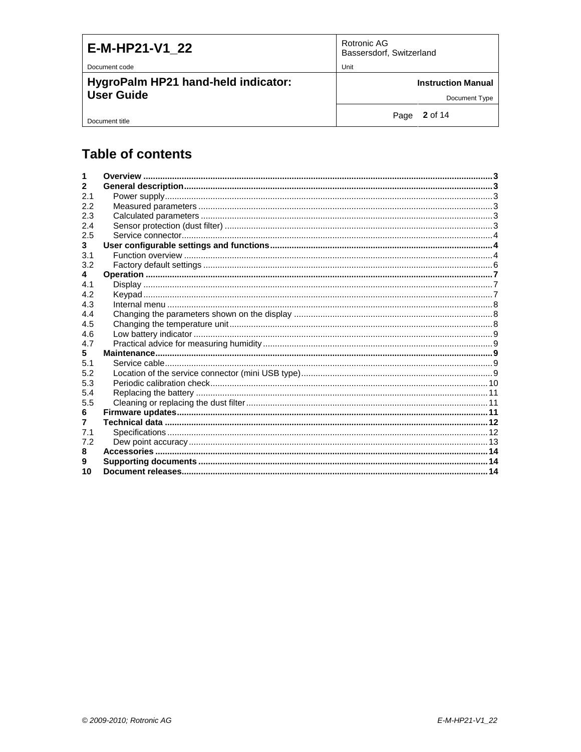| E-M-HP21-V1 22                      | Rotronic AG<br>Bassersdorf, Switzerland |
|-------------------------------------|-----------------------------------------|
| Document code                       | Unit                                    |
| HygroPalm HP21 hand-held indicator: | <b>Instruction Manual</b>               |
| <b>User Guide</b>                   | Document Type                           |
| Document title                      | Page 2 of 14                            |

# **Table of contents**

| 2   |  |
|-----|--|
| 2.1 |  |
| 2.2 |  |
| 2.3 |  |
| 2.4 |  |
| 2.5 |  |
| 3   |  |
| 3.1 |  |
| 3.2 |  |
| 4   |  |
| 4.1 |  |
| 4.2 |  |
| 4.3 |  |
| 4.4 |  |
| 4.5 |  |
| 4.6 |  |
| 47  |  |
| 5   |  |
| 5.1 |  |
| 5.2 |  |
| 5.3 |  |
| 5.4 |  |
| 5.5 |  |
| 6   |  |
| 7   |  |
| 7.1 |  |
| 7.2 |  |
| 8   |  |
|     |  |
| 10  |  |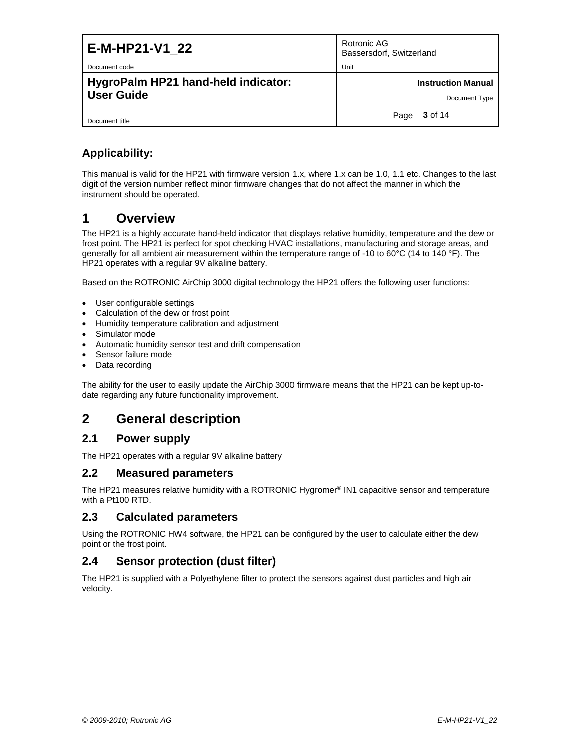| E-M-HP21-V1 22<br>Document code                          | Rotronic AG<br>Bassersdorf, Switzerland<br>Unit |
|----------------------------------------------------------|-------------------------------------------------|
| HygroPalm HP21 hand-held indicator:<br><b>User Guide</b> | <b>Instruction Manual</b><br>Document Type      |
| Document title                                           | 3 of 14<br>Page                                 |

### **Applicability:**

This manual is valid for the HP21 with firmware version 1.x, where 1.x can be 1.0, 1.1 etc. Changes to the last digit of the version number reflect minor firmware changes that do not affect the manner in which the instrument should be operated.

# <span id="page-2-0"></span>**1 Overview**

The HP21 is a highly accurate hand-held indicator that displays relative humidity, temperature and the dew or frost point. The HP21 is perfect for spot checking HVAC installations, manufacturing and storage areas, and generally for all ambient air measurement within the temperature range of -10 to 60°C (14 to 140 °F). The HP21 operates with a regular 9V alkaline battery.

Based on the ROTRONIC AirChip 3000 digital technology the HP21 offers the following user functions:

- User configurable settings
- Calculation of the dew or frost point
- Humidity temperature calibration and adjustment
- Simulator mode
- Automatic humidity sensor test and drift compensation
- Sensor failure mode
- Data recording

The ability for the user to easily update the AirChip 3000 firmware means that the HP21 can be kept up-todate regarding any future functionality improvement.

## <span id="page-2-1"></span>**2 General description**

### <span id="page-2-2"></span>**2.1 Power supply**

The HP21 operates with a regular 9V alkaline battery

#### <span id="page-2-3"></span>**2.2 Measured parameters**

The HP21 measures relative humidity with a ROTRONIC Hygromer® IN1 capacitive sensor and temperature with a Pt100 RTD.

### <span id="page-2-4"></span>**2.3 Calculated parameters**

Using the ROTRONIC HW4 software, the HP21 can be configured by the user to calculate either the dew point or the frost point.

#### <span id="page-2-5"></span>**2.4 Sensor protection (dust filter)**

The HP21 is supplied with a Polyethylene filter to protect the sensors against dust particles and high air velocity.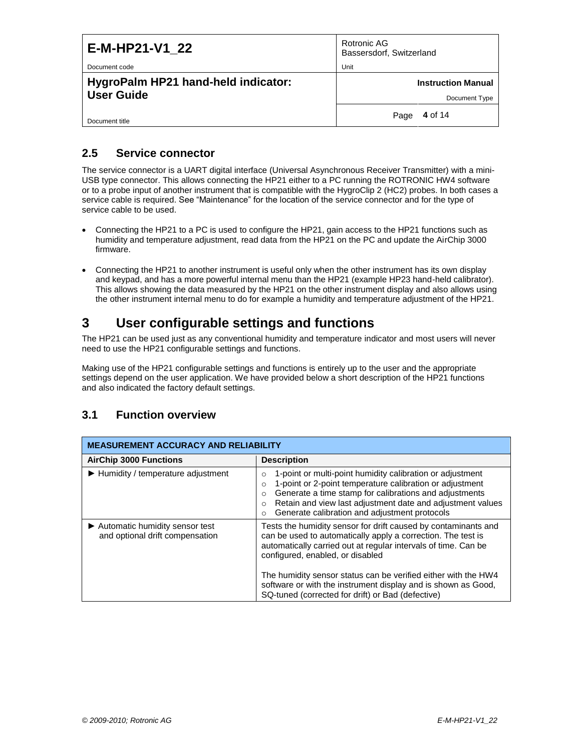| E-M-HP21-V1 22                                           | Rotronic AG<br>Bassersdorf, Switzerland    |
|----------------------------------------------------------|--------------------------------------------|
| Document code                                            | Unit                                       |
| HygroPalm HP21 hand-held indicator:<br><b>User Guide</b> | <b>Instruction Manual</b><br>Document Type |
| Document title                                           | 4 of 14<br>Page                            |

### <span id="page-3-0"></span>**2.5 Service connector**

The service connector is a UART digital interface (Universal Asynchronous Receiver Transmitter) with a mini-USB type connector. This allows connecting the HP21 either to a PC running the ROTRONIC HW4 software or to a probe input of another instrument that is compatible with the HygroClip 2 (HC2) probes. In both cases a service cable is required. See "Maintenance" for the location of the service connector and for the type of service cable to be used.

- Connecting the HP21 to a PC is used to configure the HP21, gain access to the HP21 functions such as humidity and temperature adjustment, read data from the HP21 on the PC and update the AirChip 3000 firmware.
- Connecting the HP21 to another instrument is useful only when the other instrument has its own display and keypad, and has a more powerful internal menu than the HP21 (example HP23 hand-held calibrator). This allows showing the data measured by the HP21 on the other instrument display and also allows using the other instrument internal menu to do for example a humidity and temperature adjustment of the HP21.

# <span id="page-3-1"></span>**3 User configurable settings and functions**

The HP21 can be used just as any conventional humidity and temperature indicator and most users will never need to use the HP21 configurable settings and functions.

Making use of the HP21 configurable settings and functions is entirely up to the user and the appropriate settings depend on the user application. We have provided below a short description of the HP21 functions and also indicated the factory default settings.

### <span id="page-3-2"></span>**3.1 Function overview**

| <b>MEASUREMENT ACCURACY AND RELIABILITY</b>                         |                                                                                                                                                                                                                                                                                                                                                                         |  |
|---------------------------------------------------------------------|-------------------------------------------------------------------------------------------------------------------------------------------------------------------------------------------------------------------------------------------------------------------------------------------------------------------------------------------------------------------------|--|
| <b>AirChip 3000 Functions</b>                                       | <b>Description</b>                                                                                                                                                                                                                                                                                                                                                      |  |
| $\blacktriangleright$ Humidity / temperature adjustment             | 1-point or multi-point humidity calibration or adjustment<br>$\circ$<br>1-point or 2-point temperature calibration or adjustment<br>$\circ$<br>Generate a time stamp for calibrations and adjustments<br>O<br>Retain and view last adjustment date and adjustment values<br>$\Omega$<br>Generate calibration and adjustment protocols<br>$\Omega$                       |  |
| ► Automatic humidity sensor test<br>and optional drift compensation | Tests the humidity sensor for drift caused by contaminants and<br>can be used to automatically apply a correction. The test is<br>automatically carried out at regular intervals of time. Can be<br>configured, enabled, or disabled<br>The humidity sensor status can be verified either with the HW4<br>software or with the instrument display and is shown as Good, |  |
|                                                                     | SQ-tuned (corrected for drift) or Bad (defective)                                                                                                                                                                                                                                                                                                                       |  |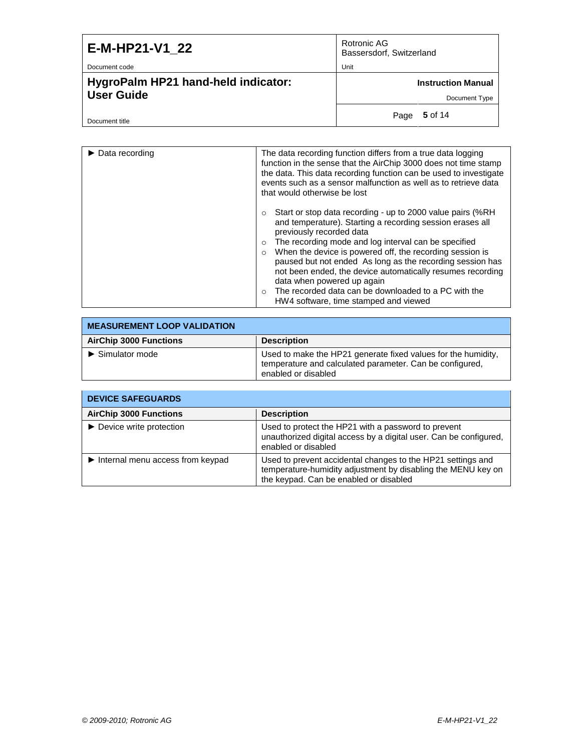| E-M-HP21-V1 22                      | Rotronic AG<br>Bassersdorf, Switzerland |
|-------------------------------------|-----------------------------------------|
| Document code                       | Unit                                    |
| HygroPalm HP21 hand-held indicator: | <b>Instruction Manual</b>               |
| <b>User Guide</b>                   | Document Type                           |
| Document title                      | 5 of 14<br>Page                         |

| $\triangleright$ Data recording | The data recording function differs from a true data logging<br>function in the sense that the AirChip 3000 does not time stamp<br>the data. This data recording function can be used to investigate<br>events such as a sensor malfunction as well as to retrieve data<br>that would otherwise be lost                                                                                                                                                                                                                                                                       |
|---------------------------------|-------------------------------------------------------------------------------------------------------------------------------------------------------------------------------------------------------------------------------------------------------------------------------------------------------------------------------------------------------------------------------------------------------------------------------------------------------------------------------------------------------------------------------------------------------------------------------|
|                                 | Start or stop data recording - up to 2000 value pairs (%RH<br>$\circ$<br>and temperature). Starting a recording session erases all<br>previously recorded data<br>The recording mode and log interval can be specified<br>$\circ$<br>When the device is powered off, the recording session is<br>$\circ$<br>paused but not ended As long as the recording session has<br>not been ended, the device automatically resumes recording<br>data when powered up again<br>The recorded data can be downloaded to a PC with the<br>$\circ$<br>HW4 software, time stamped and viewed |

| <b>I MEASUREMENT LOOP VALIDATION</b> |                                                                                                                                                  |  |
|--------------------------------------|--------------------------------------------------------------------------------------------------------------------------------------------------|--|
| <b>AirChip 3000 Functions</b>        | <b>Description</b>                                                                                                                               |  |
| $\blacktriangleright$ Simulator mode | Used to make the HP21 generate fixed values for the humidity,<br>temperature and calculated parameter. Can be configured,<br>enabled or disabled |  |

| <b>DEVICE SAFEGUARDS</b>                               |                                                                                                                                                                       |  |
|--------------------------------------------------------|-----------------------------------------------------------------------------------------------------------------------------------------------------------------------|--|
| <b>AirChip 3000 Functions</b>                          | <b>Description</b>                                                                                                                                                    |  |
| $\triangleright$ Device write protection               | Used to protect the HP21 with a password to prevent<br>unauthorized digital access by a digital user. Can be configured,<br>enabled or disabled                       |  |
| $\blacktriangleright$ Internal menu access from keypad | Used to prevent accidental changes to the HP21 settings and<br>temperature-humidity adjustment by disabling the MENU key on<br>the keypad. Can be enabled or disabled |  |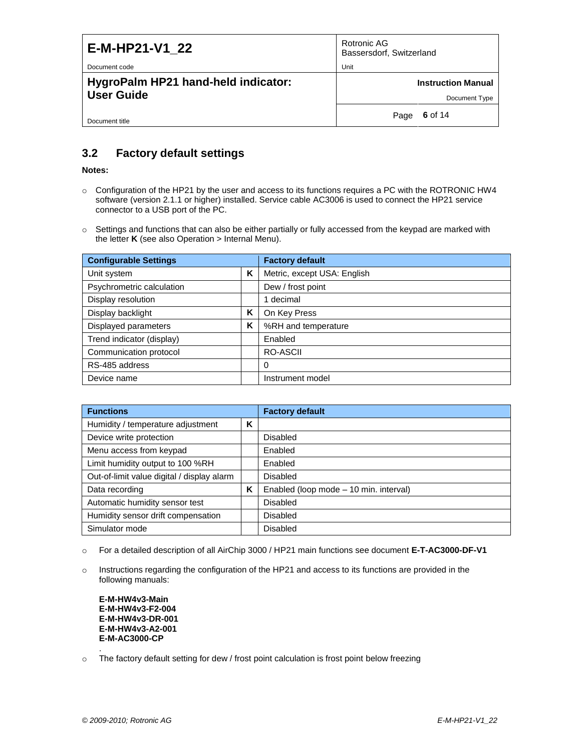| E-M-HP21-V1 22                      | Rotronic AG<br>Bassersdorf, Switzerland |
|-------------------------------------|-----------------------------------------|
| Document code                       | Unit                                    |
| HygroPalm HP21 hand-held indicator: | <b>Instruction Manual</b>               |
| <b>User Guide</b>                   | Document Type                           |
| Document title                      | 6 of 14<br>Page                         |

### <span id="page-5-0"></span>**3.2 Factory default settings**

#### **Notes:**

- $\circ$  Configuration of the HP21 by the user and access to its functions requires a PC with the ROTRONIC HW4 software (version 2.1.1 or higher) installed. Service cable AC3006 is used to connect the HP21 service connector to a USB port of the PC.
- o Settings and functions that can also be either partially or fully accessed from the keypad are marked with the letter **K** (see also Operation > Internal Menu).

| <b>Configurable Settings</b> |   | <b>Factory default</b>      |  |
|------------------------------|---|-----------------------------|--|
| Unit system                  | ĸ | Metric, except USA: English |  |
| Psychrometric calculation    |   | Dew / frost point           |  |
| Display resolution           |   | 1 decimal                   |  |
| Display backlight            | Κ | On Key Press                |  |
| Displayed parameters         | Κ | %RH and temperature         |  |
| Trend indicator (display)    |   | Enabled                     |  |
| Communication protocol       |   | RO-ASCII                    |  |
| RS-485 address               |   | 0                           |  |
| Device name                  |   | Instrument model            |  |

| <b>Functions</b>                           |   | <b>Factory default</b>                 |
|--------------------------------------------|---|----------------------------------------|
| Humidity / temperature adjustment          | ĸ |                                        |
| Device write protection                    |   | Disabled                               |
| Menu access from keypad                    |   | Enabled                                |
| Limit humidity output to 100 %RH           |   | Enabled                                |
| Out-of-limit value digital / display alarm |   | Disabled                               |
| Data recording                             | ĸ | Enabled (loop mode - 10 min. interval) |
| Automatic humidity sensor test             |   | Disabled                               |
| Humidity sensor drift compensation         |   | Disabled                               |
| Simulator mode                             |   | <b>Disabled</b>                        |

- o For a detailed description of all AirChip 3000 / HP21 main functions see document **E-T-AC3000-DF-V1**
- o Instructions regarding the configuration of the HP21 and access to its functions are provided in the following manuals:

**E-M-HW4v3-Main E-M-HW4v3-F2-004 E-M-HW4v3-DR-001 E-M-HW4v3-A2-001 E-M-AC3000-CP**

o The factory default setting for dew / frost point calculation is frost point below freezing

.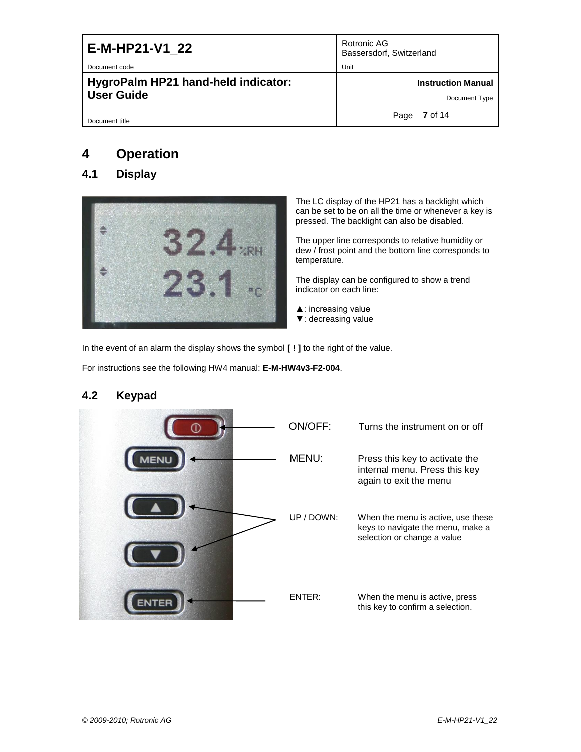| E-M-HP21-V1 22<br>Document code                          | Rotronic AG<br>Bassersdorf, Switzerland<br>Unit |
|----------------------------------------------------------|-------------------------------------------------|
| HygroPalm HP21 hand-held indicator:<br><b>User Guide</b> | <b>Instruction Manual</b><br>Document Type      |
| Document title                                           | Page 7 of 14                                    |

# <span id="page-6-0"></span>**4 Operation**

### <span id="page-6-1"></span>**4.1 Display**



The LC display of the HP21 has a backlight which can be set to be on all the time or whenever a key is pressed. The backlight can also be disabled.

The upper line corresponds to relative humidity or dew / frost point and the bottom line corresponds to temperature.

The display can be configured to show a trend indicator on each line:

- ▲: increasing value
- ▼: decreasing value

In the event of an alarm the display shows the symbol **[ ! ]** to the right of the value.

For instructions see the following HW4 manual: **E-M-HW4v3-F2-004**.

# ON/OFF: Turns the instrument on or off MENU: Press this key to activate the **MENU** internal menu. Press this key again to exit the menu UP / DOWN: When the menu is active, use these keys to navigate the menu, make a selection or change a value ENTER: When the menu is active, press **ENTER** this key to confirm a selection.

### <span id="page-6-2"></span>**4.2 Keypad**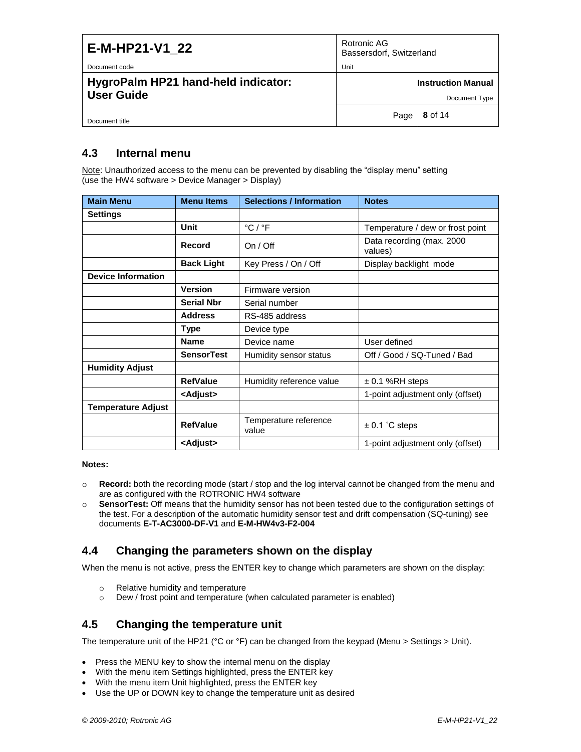| E-M-HP21-V1 22                      | Rotronic AG<br>Bassersdorf, Switzerland |
|-------------------------------------|-----------------------------------------|
| Document code                       | Unit                                    |
| HygroPalm HP21 hand-held indicator: | <b>Instruction Manual</b>               |
| <b>User Guide</b>                   | Document Type                           |
| Document title                      | 8 of 14<br>Page                         |

### <span id="page-7-0"></span>**4.3 Internal menu**

Note: Unauthorized access to the menu can be prevented by disabling the "display menu" setting (use the HW4 software > Device Manager > Display)

| <b>Main Menu</b>          | <b>Menu Items</b> | <b>Selections / Information</b> | <b>Notes</b>                         |
|---------------------------|-------------------|---------------------------------|--------------------------------------|
| <b>Settings</b>           |                   |                                 |                                      |
|                           | Unit              | $^{\circ}$ C / $^{\circ}$ F     | Temperature / dew or frost point     |
|                           | Record            | On / Off                        | Data recording (max. 2000<br>values) |
|                           | <b>Back Light</b> | Key Press / On / Off            | Display backlight mode               |
| <b>Device Information</b> |                   |                                 |                                      |
|                           | <b>Version</b>    | Firmware version                |                                      |
|                           | <b>Serial Nbr</b> | Serial number                   |                                      |
|                           | <b>Address</b>    | RS-485 address                  |                                      |
|                           | <b>Type</b>       | Device type                     |                                      |
|                           | <b>Name</b>       | Device name                     | User defined                         |
|                           | <b>SensorTest</b> | Humidity sensor status          | Off / Good / SQ-Tuned / Bad          |
| <b>Humidity Adjust</b>    |                   |                                 |                                      |
|                           | <b>RefValue</b>   | Humidity reference value        | $± 0.1$ %RH steps                    |
|                           | <adjust></adjust> |                                 | 1-point adjustment only (offset)     |
| <b>Temperature Adjust</b> |                   |                                 |                                      |
|                           | <b>RefValue</b>   | Temperature reference<br>value  | $± 0.1$ °C steps                     |
|                           | <adjust></adjust> |                                 | 1-point adjustment only (offset)     |

**Notes:**

- o **Record:** both the recording mode (start / stop and the log interval cannot be changed from the menu and are as configured with the ROTRONIC HW4 software
- o **SensorTest:** Off means that the humidity sensor has not been tested due to the configuration settings of the test. For a description of the automatic humidity sensor test and drift compensation (SQ-tuning) see documents **E-T-AC3000-DF-V1** and **E-M-HW4v3-F2-004**

### <span id="page-7-1"></span>**4.4 Changing the parameters shown on the display**

When the menu is not active, press the ENTER key to change which parameters are shown on the display:

- o Relative humidity and temperature
- o Dew / frost point and temperature (when calculated parameter is enabled)

### <span id="page-7-2"></span>**4.5 Changing the temperature unit**

The temperature unit of the HP21 ( $^{\circ}$ C or  $^{\circ}$ F) can be changed from the keypad (Menu > Settings > Unit).

- Press the MENU key to show the internal menu on the display
- With the menu item Settings highlighted, press the ENTER key
- With the menu item Unit highlighted, press the ENTER key
- Use the UP or DOWN key to change the temperature unit as desired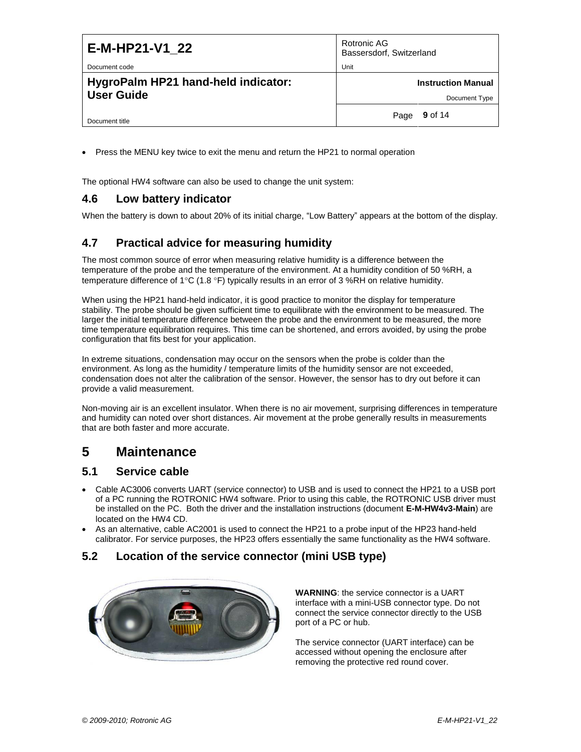| E-M-HP21-V1 22                                           | Rotronic AG<br>Bassersdorf, Switzerland    |
|----------------------------------------------------------|--------------------------------------------|
| Document code                                            | Unit                                       |
| HygroPalm HP21 hand-held indicator:<br><b>User Guide</b> | <b>Instruction Manual</b><br>Document Type |
| Document title                                           | <b>9</b> of 14<br>Page                     |

Press the MENU key twice to exit the menu and return the HP21 to normal operation

The optional HW4 software can also be used to change the unit system:

### <span id="page-8-0"></span>**4.6 Low battery indicator**

When the battery is down to about 20% of its initial charge, "Low Battery" appears at the bottom of the display.

### <span id="page-8-1"></span>**4.7 Practical advice for measuring humidity**

The most common source of error when measuring relative humidity is a difference between the temperature of the probe and the temperature of the environment. At a humidity condition of 50 %RH, a temperature difference of 1°C (1.8 °F) typically results in an error of 3 %RH on relative humidity.

When using the HP21 hand-held indicator, it is good practice to monitor the display for temperature stability. The probe should be given sufficient time to equilibrate with the environment to be measured. The larger the initial temperature difference between the probe and the environment to be measured, the more time temperature equilibration requires. This time can be shortened, and errors avoided, by using the probe configuration that fits best for your application.

In extreme situations, condensation may occur on the sensors when the probe is colder than the environment. As long as the humidity / temperature limits of the humidity sensor are not exceeded, condensation does not alter the calibration of the sensor. However, the sensor has to dry out before it can provide a valid measurement.

Non-moving air is an excellent insulator. When there is no air movement, surprising differences in temperature and humidity can noted over short distances. Air movement at the probe generally results in measurements that are both faster and more accurate.

## <span id="page-8-2"></span>**5 Maintenance**

### <span id="page-8-3"></span>**5.1 Service cable**

- Cable AC3006 converts UART (service connector) to USB and is used to connect the HP21 to a USB port of a PC running the ROTRONIC HW4 software. Prior to using this cable, the ROTRONIC USB driver must be installed on the PC. Both the driver and the installation instructions (document **E-M-HW4v3-Main**) are located on the HW4 CD.
- As an alternative, cable AC2001 is used to connect the HP21 to a probe input of the HP23 hand-held calibrator. For service purposes, the HP23 offers essentially the same functionality as the HW4 software.

### <span id="page-8-4"></span>**5.2 Location of the service connector (mini USB type)**



**WARNING**: the service connector is a UART interface with a mini-USB connector type. Do not connect the service connector directly to the USB port of a PC or hub.

The service connector (UART interface) can be accessed without opening the enclosure after removing the protective red round cover.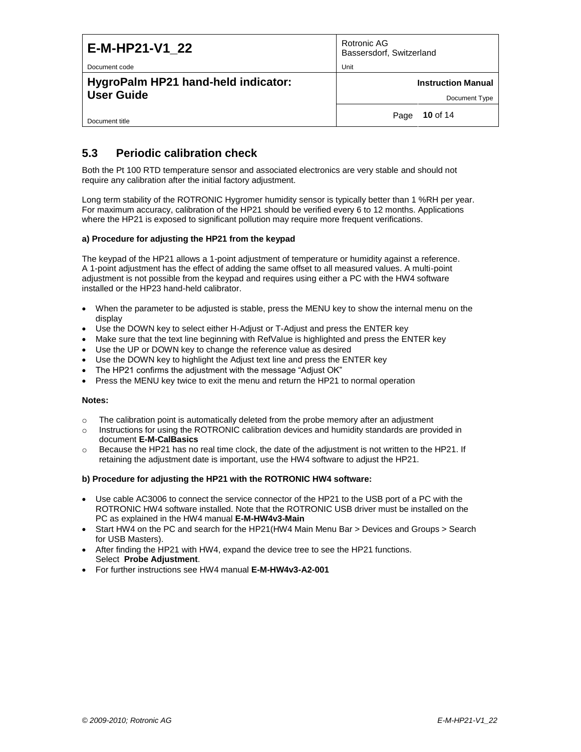| E-M-HP21-V1 22                      | Rotronic AG<br>Bassersdorf, Switzerland |
|-------------------------------------|-----------------------------------------|
| Document code                       | Unit                                    |
| HygroPalm HP21 hand-held indicator: | <b>Instruction Manual</b>               |
| <b>User Guide</b>                   | Document Type                           |
| Document title                      | 10 of 14<br>Page                        |

### <span id="page-9-0"></span>**5.3 Periodic calibration check**

Both the Pt 100 RTD temperature sensor and associated electronics are very stable and should not require any calibration after the initial factory adjustment.

Long term stability of the ROTRONIC Hygromer humidity sensor is typically better than 1 %RH per year. For maximum accuracy, calibration of the HP21 should be verified every 6 to 12 months. Applications where the HP21 is exposed to significant pollution may require more frequent verifications.

#### **a) Procedure for adjusting the HP21 from the keypad**

The keypad of the HP21 allows a 1-point adjustment of temperature or humidity against a reference. A 1-point adjustment has the effect of adding the same offset to all measured values. A multi-point adjustment is not possible from the keypad and requires using either a PC with the HW4 software installed or the HP23 hand-held calibrator.

- When the parameter to be adjusted is stable, press the MENU key to show the internal menu on the display
- Use the DOWN key to select either H-Adjust or T-Adjust and press the ENTER key
- Make sure that the text line beginning with RefValue is highlighted and press the ENTER key
- Use the UP or DOWN key to change the reference value as desired
- Use the DOWN key to highlight the Adjust text line and press the ENTER key
- The HP21 confirms the adjustment with the message "Adjust OK"
- Press the MENU key twice to exit the menu and return the HP21 to normal operation

#### **Notes:**

- $\circ$  The calibration point is automatically deleted from the probe memory after an adjustment
- o Instructions for using the ROTRONIC calibration devices and humidity standards are provided in document **E-M-CalBasics**
- o Because the HP21 has no real time clock, the date of the adjustment is not written to the HP21. If retaining the adjustment date is important, use the HW4 software to adjust the HP21.

#### **b) Procedure for adjusting the HP21 with the ROTRONIC HW4 software:**

- Use cable AC3006 to connect the service connector of the HP21 to the USB port of a PC with the ROTRONIC HW4 software installed. Note that the ROTRONIC USB driver must be installed on the PC as explained in the HW4 manual **E-M-HW4v3-Main**
- Start HW4 on the PC and search for the HP21(HW4 Main Menu Bar > Devices and Groups > Search for USB Masters).
- After finding the HP21 with HW4, expand the device tree to see the HP21 functions. Select **Probe Adjustment**.
- For further instructions see HW4 manual **E-M-HW4v3-A2-001**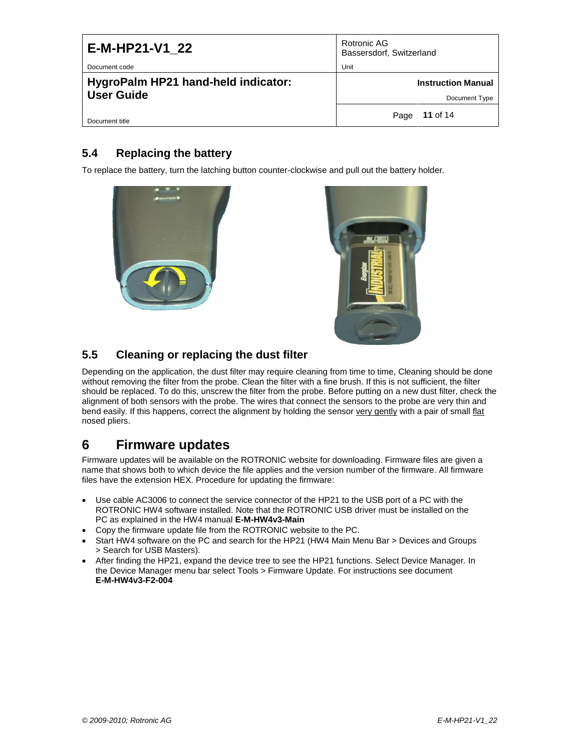| E-M-HP21-V1 22                                           | Rotronic AG<br>Bassersdorf, Switzerland    |
|----------------------------------------------------------|--------------------------------------------|
| Document code                                            | Unit                                       |
| HygroPalm HP21 hand-held indicator:<br><b>User Guide</b> | <b>Instruction Manual</b><br>Document Type |
|                                                          |                                            |
| Document title                                           | <b>11</b> of 14<br>Page                    |

### <span id="page-10-0"></span>**5.4 Replacing the battery**

To replace the battery, turn the latching button counter-clockwise and pull out the battery holder.





### <span id="page-10-1"></span>**5.5 Cleaning or replacing the dust filter**

Depending on the application, the dust filter may require cleaning from time to time, Cleaning should be done without removing the filter from the probe. Clean the filter with a fine brush. If this is not sufficient, the filter should be replaced. To do this, unscrew the filter from the probe. Before putting on a new dust filter, check the alignment of both sensors with the probe. The wires that connect the sensors to the probe are very thin and bend easily. If this happens, correct the alignment by holding the sensor very gently with a pair of small flat nosed pliers.

# <span id="page-10-2"></span>**6 Firmware updates**

Firmware updates will be available on the ROTRONIC website for downloading. Firmware files are given a name that shows both to which device the file applies and the version number of the firmware. All firmware files have the extension HEX. Procedure for updating the firmware:

- Use cable AC3006 to connect the service connector of the HP21 to the USB port of a PC with the ROTRONIC HW4 software installed. Note that the ROTRONIC USB driver must be installed on the PC as explained in the HW4 manual **E-M-HW4v3-Main**
- Copy the firmware update file from the ROTRONIC website to the PC.
- Start HW4 software on the PC and search for the HP21 (HW4 Main Menu Bar > Devices and Groups > Search for USB Masters).
- After finding the HP21, expand the device tree to see the HP21 functions. Select Device Manager. In the Device Manager menu bar select Tools > Firmware Update. For instructions see document **E-M-HW4v3-F2-004**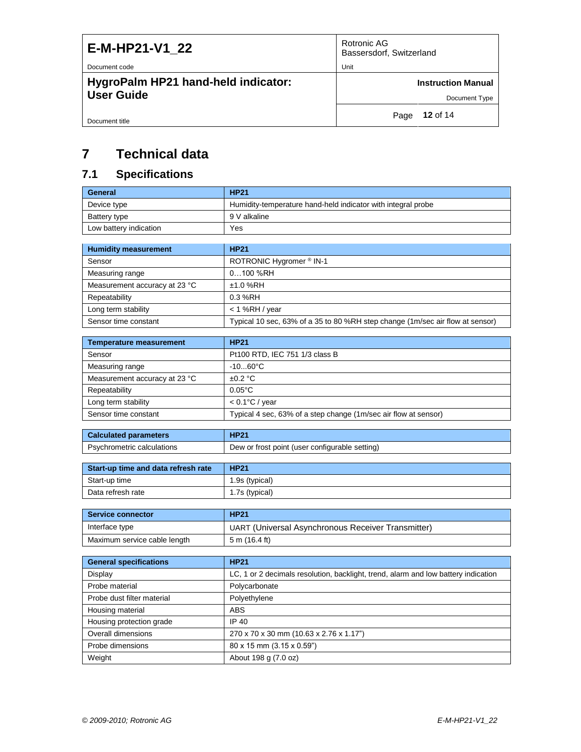| E-M-HP21-V1 22                      | Rotronic AG<br>Bassersdorf, Switzerland |
|-------------------------------------|-----------------------------------------|
| Document code                       | Unit                                    |
| HygroPalm HP21 hand-held indicator: | <b>Instruction Manual</b>               |
| <b>User Guide</b>                   | Document Type                           |
| Document title                      | <b>12</b> of 14<br>Page                 |

# <span id="page-11-0"></span>**7 Technical data**

# <span id="page-11-1"></span>**7.1 Specifications**

| General                | <b>HP21</b>                                                  |
|------------------------|--------------------------------------------------------------|
| Device type            | Humidity-temperature hand-held indicator with integral probe |
| Battery type           | 9 V alkaline                                                 |
| Low battery indication | Yes                                                          |

| <b>Humidity measurement</b>   | <b>HP21</b>                                                                   |
|-------------------------------|-------------------------------------------------------------------------------|
| Sensor                        | ROTRONIC Hygromer ® IN-1                                                      |
| Measuring range               | $0100$ %RH                                                                    |
| Measurement accuracy at 23 °C | $±1.0$ %RH                                                                    |
| Repeatability                 | $0.3%$ RH                                                                     |
| Long term stability           | < 1 %RH / vear                                                                |
| Sensor time constant          | Typical 10 sec, 63% of a 35 to 80 %RH step change (1m/sec air flow at sensor) |

| <b>Temperature measurement</b> | <b>HP21</b>                                                     |
|--------------------------------|-----------------------------------------------------------------|
| Sensor                         | Pt100 RTD, IEC 751 1/3 class B                                  |
| Measuring range                | $-1060^{\circ}$ C                                               |
| Measurement accuracy at 23 °C  | $+0.2 °C$                                                       |
| Repeatability                  | $0.05^{\circ}$ C                                                |
| Long term stability            | $< 0.1$ °C / year                                               |
| Sensor time constant           | Typical 4 sec, 63% of a step change (1m/sec air flow at sensor) |

| <b>Calculated parameters</b> | <b>HP21</b>                                    |
|------------------------------|------------------------------------------------|
| Psychrometric calculations   | Dew or frost point (user configurable setting) |

| Start-up time and data refresh rate | <b>HP21</b>    |
|-------------------------------------|----------------|
| Start-up time                       | 1.9s (typical) |
| Data refresh rate                   | 1.7s (typical) |

| <b>Service connector</b>     | <b>HP21</b>                                        |
|------------------------------|----------------------------------------------------|
| Interface type               | UART (Universal Asynchronous Receiver Transmitter) |
| Maximum service cable length | $5 \text{ m}$ (16.4 ft)                            |

| <b>General specifications</b> | <b>HP21</b>                                                                        |  |
|-------------------------------|------------------------------------------------------------------------------------|--|
| Display                       | LC, 1 or 2 decimals resolution, backlight, trend, alarm and low battery indication |  |
| Probe material                | Polycarbonate                                                                      |  |
| Probe dust filter material    | Polyethylene                                                                       |  |
| Housing material              | <b>ABS</b>                                                                         |  |
| Housing protection grade      | IP 40                                                                              |  |
| <b>Overall dimensions</b>     | 270 x 70 x 30 mm (10.63 x 2.76 x 1.17")                                            |  |
| Probe dimensions              | 80 x 15 mm (3.15 x 0.59")                                                          |  |
| Weight                        | About 198 g (7.0 oz)                                                               |  |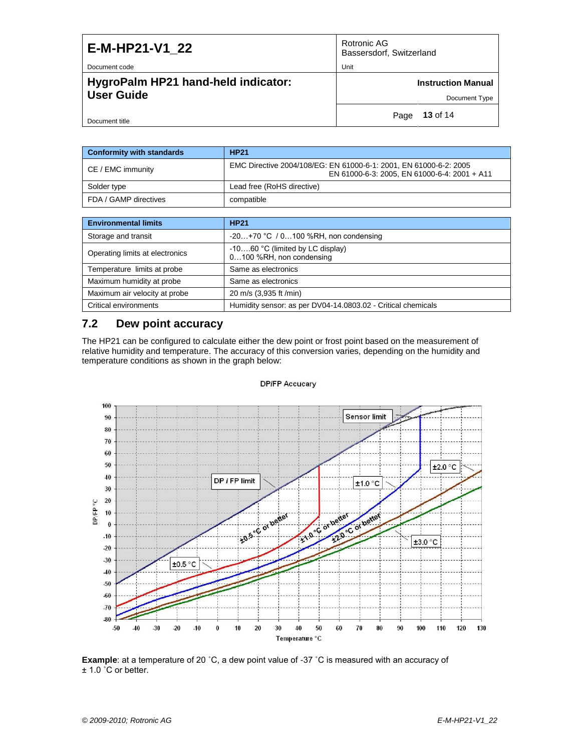| E-M-HP21-V1 22                                           | Rotronic AG<br>Bassersdorf, Switzerland    |
|----------------------------------------------------------|--------------------------------------------|
| Document code                                            | Unit                                       |
| HygroPalm HP21 hand-held indicator:<br><b>User Guide</b> | <b>Instruction Manual</b><br>Document Type |
|                                                          |                                            |
| Document title                                           | <b>13</b> of 14<br>Page                    |

| <b>Conformity with standards</b> | <b>HP21</b>                                                                                                       |
|----------------------------------|-------------------------------------------------------------------------------------------------------------------|
| CE / EMC immunity                | EMC Directive 2004/108/EG: EN 61000-6-1: 2001, EN 61000-6-2: 2005<br>EN 61000-6-3: 2005, EN 61000-6-4: 2001 + A11 |
| Solder type                      | Lead free (RoHS directive)                                                                                        |
| FDA / GAMP directives            | compatible                                                                                                        |

| <b>Environmental limits</b>     | <b>HP21</b>                                                    |
|---------------------------------|----------------------------------------------------------------|
| Storage and transit             | $-20+70$ °C / 0100 %RH, non condensing                         |
| Operating limits at electronics | $-1060$ °C (limited by LC display)<br>0100 %RH, non condensing |
| Temperature limits at probe     | Same as electronics                                            |
| Maximum humidity at probe       | Same as electronics                                            |
| Maximum air velocity at probe   | 20 m/s (3,935 ft /min)                                         |
| Critical environments           | Humidity sensor: as per DV04-14.0803.02 - Critical chemicals   |

### <span id="page-12-0"></span>**7.2 Dew point accuracy**

The HP21 can be configured to calculate either the dew point or frost point based on the measurement of relative humidity and temperature. The accuracy of this conversion varies, depending on the humidity and temperature. The accuracy of this conversion varies, depending on the humidity and temperature conditions as shown in the graph below:



#### **DPIFP Accucary**

**Example**: at a temperature of 20 ˚C, a dew point value of -37 ˚C is measured with an accuracy of ± 1.0 ˚C or better.